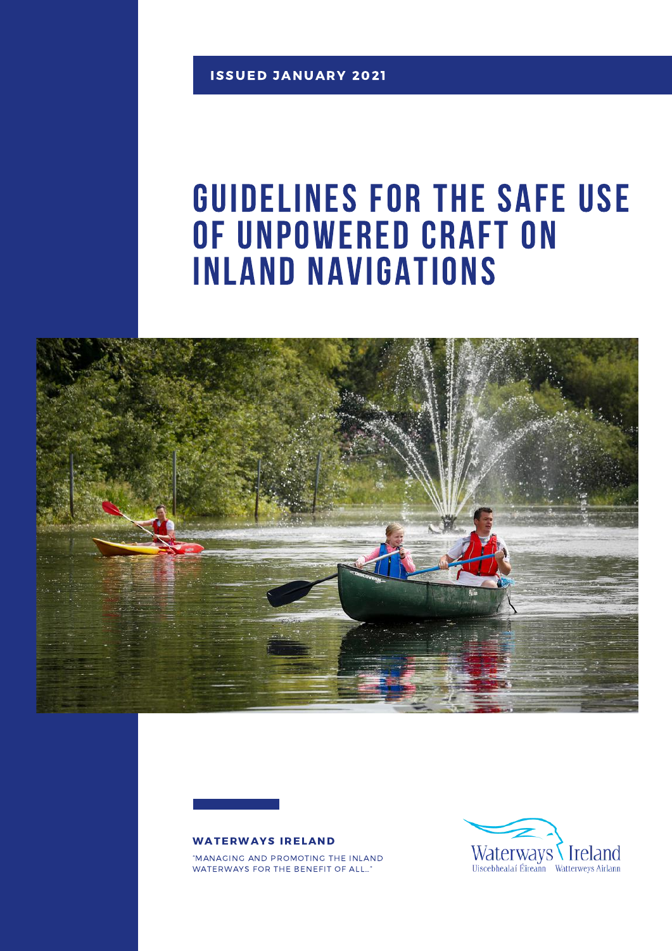### Guidelines for the safe use OF UNPOWERED CRAFT ON Inland navigations





"MANAGING AND PROMOTING THE INLAND WATERWAYS FOR THE BENEFIT OF ALL…"

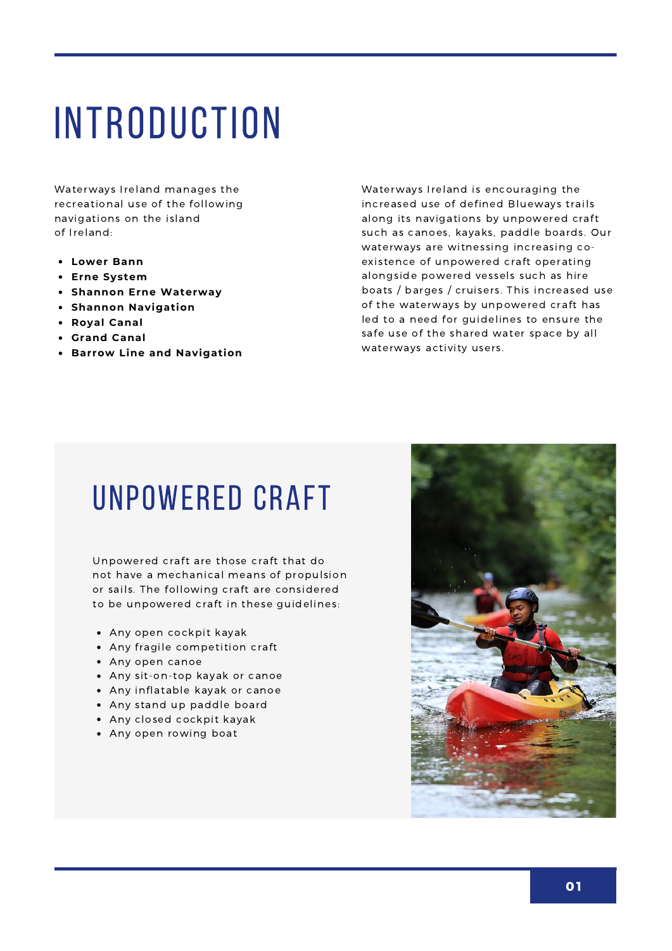# **INTRODUCTION**

Waterways Ireland manages the recreational use of the following navigations on the island of Ireland:

- **Lower Bann**
- **Erne System**
- **Shannon Erne Waterway**
- **Shannon Navigation**
- **Royal Canal**
- **Grand Canal**
- **Barrow Line and Navigation**

Waterways Ireland is encouraging the increased use of defined Blueways trails along its navigations by unpowered craft such as canoes, kayaks, paddle boards. Our waterways are witnessing increasing coexistence of unpowered craft operating alongside powered vessels such as hire boats / barges / cruisers. This increased use of the waterways by unpowered craft has led to a need for guidelines to ensure the safe use of the shared water space by all waterways activity users.

### UNPOWERED CRAFT

Unpowered craft are those craft that do not have a mechanical means of propulsion or sails. The following craft are considered to be unpowered craft in these guidelines:

- Any open cockpit kayak
- Any fragile competition craft
- Any open canoe
- Any sit-on-top kayak or canoe
- Any inflatable kayak or canoe
- Any stand up paddle board
- Any closed cockpit kayak
- Any open rowing boat

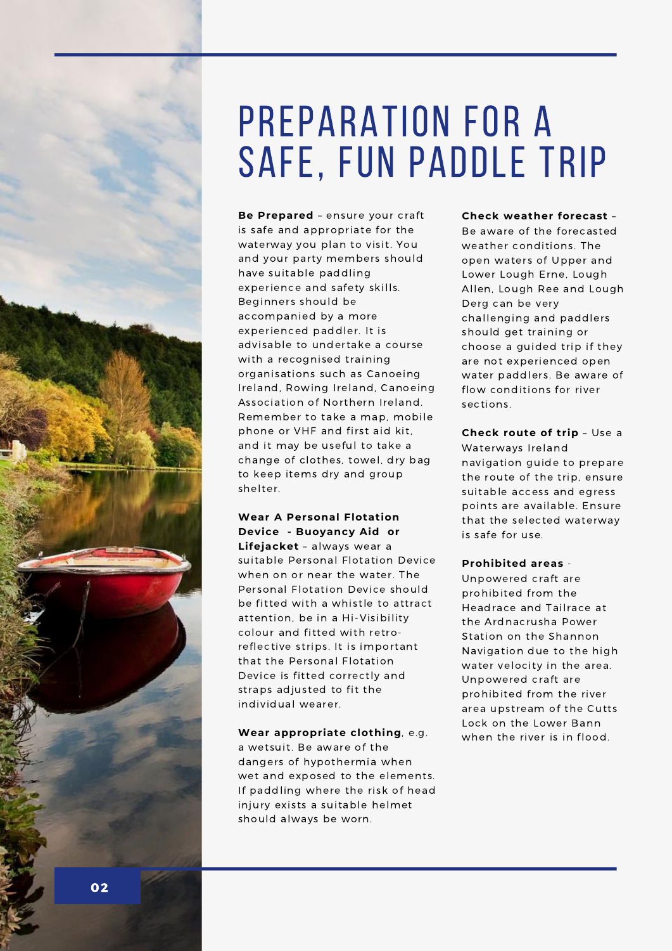

## PREPARATION FOR A safe, fun paddle trip

**Be Prepared** – ensure your craft is safe and appropriate for the waterway you plan to visit. You and your party members should have suitable paddling experience and safety skills. Beginners should be accompanied by a more experienced paddler. It is advisable to undertake a course with a recognised training organisations such as Canoeing Ireland, Rowing Ireland, Canoeing Association of Northern Ireland. Remember to take a map, mobile phone or VHF and first aid kit, and it may be useful to take a change of clothes, towel, dry bag to keep items dry and group shelter.

#### **Wear A Personal Flotation Device - Buoyancy Aid or**

**Lifejacket** – always wear a suitable Personal Flotation Device when on or near the water. The Personal Flotation Device should be fitted with a whistle to attract attention, be in a Hi-Visibility colour and fitted with retroreflective strips. It is important that the Personal Flotation Device is fitted correctly and straps adjusted to fit the individual wearer.

#### **Wear appropriate clothing**, e.g. a wetsuit. Be aware of the dangers of hypothermia when wet and exposed to the elements. If paddling where the risk of head injury exists a suitable helmet

should always be worn.

#### **Check weather forecast** –

Be aware of the forecasted weather conditions. The open waters of Upper and Lower Lough Erne, Lough Allen, Lough Ree and Lough Derg can be very challenging and paddlers should get training or choose a guided trip if they are not experienced open water paddlers. Be aware of flow conditions for river sections.

#### **Check route of trip** – Use a

Waterways Ireland navigation guide to prepare the route of the trip, ensure suitable access and egress points are available. Ensure that the selected waterway is safe for use.

#### **Prohibited areas** -

Unpowered craft are prohibited from the Headrace and Tailrace at the Ardnacrusha Power Station on the Shannon Navigation due to the high water velocity in the area. Unpowered craft are prohibited from the river area upstream of the Cutts Lock on the Lower Bann when the river is in flood.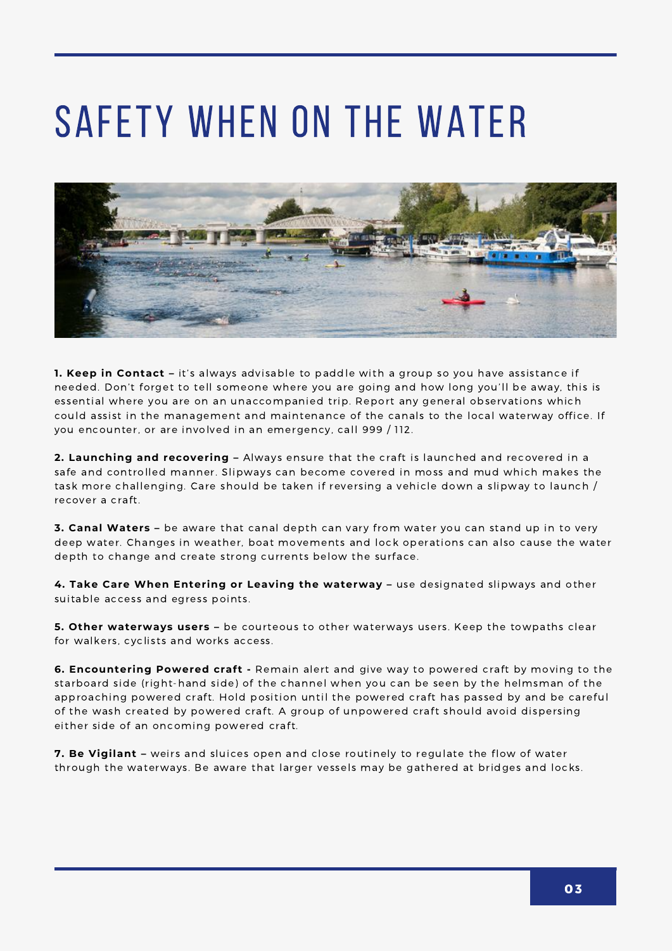# Safety when on the water



**1. Keep in Contact –** it's always advisable to paddle with a group so you have assistance if needed. Don't forget to tell someone where you are going and how long you'll be away, this is essential where you are on an unaccompanied trip. Report any general observations which could assist in the management and maintenance of the canals to the local waterway office. If you encounter, or are involved in an emergency, call 999 / 112.

**2. Launching and recovering –** Always ensure that the craft is launched and recovered in a safe and controlled manner. Slipways can become covered in moss and mud which makes the task more challenging. Care should be taken if reversing a vehicle down a slipway to launch / recover a craft.

**3. Canal Waters –** be aware that canal depth can vary from water you can stand up in to very deep water. Changes in weather, boat movements and lock operations can also cause the water depth to change and create strong currents below the surface.

**4. Take Care When Entering or Leaving the waterway –** use designated slipways and other suitable access and egress points.

**5. Other waterways users –** be courteous to other waterways users. Keep the towpaths clear for walkers, cyclists and works access.

**6. Encountering Powered craft -** Remain alert and give way to powered craft by moving to the starboard side (right-hand side) of the channel when you can be seen by the helmsman of the approaching powered craft. Hold position until the powered craft has passed by and be careful of the wash created by powered craft. A group of unpowered craft should avoid dispersing either side of an oncoming powered craft.

**7. Be Vigilant –** weirs and sluices open and close routinely to regulate the flow of water through the waterways. Be aware that larger vessels may be gathered at bridges and locks.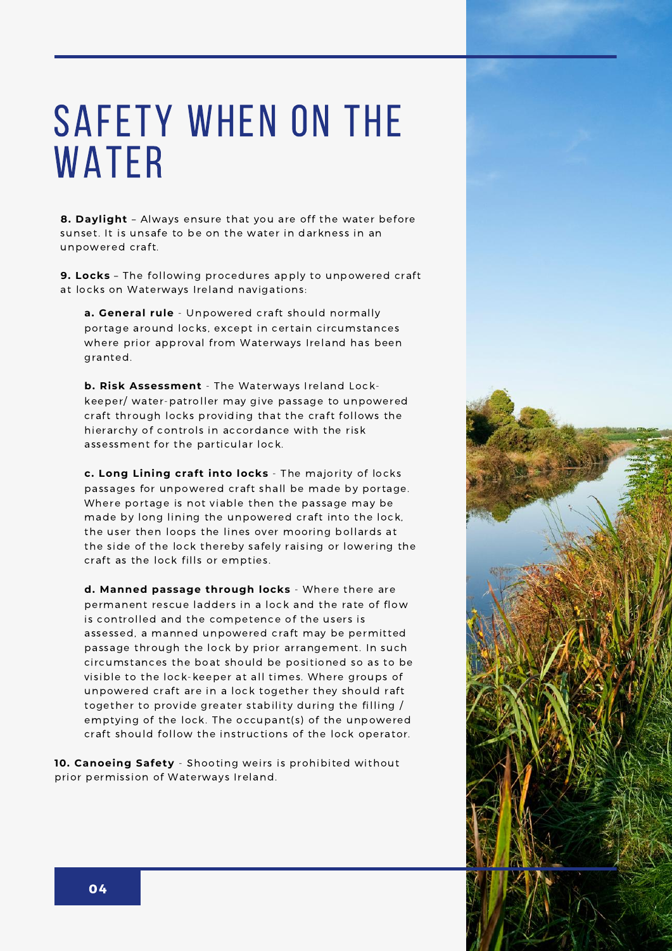## Safety When on the **WATER**

**8. Daylight** – Always ensure that you are off the water before sunset. It is unsafe to be on the water in darkness in an unpowered craft.

**9. Locks** – The following procedures apply to unpowered craft at locks on Waterways Ireland navigations:

**a. General rule** - Unpowered craft should normally portage around locks, except in certain circumstances where prior approval from Waterways Ireland has been granted.

**b. Risk Assessment** - The Waterways Ireland Lockkeeper/ water-patroller may give passage to unpowered craft through locks providing that the craft follows the hierarchy of controls in accordance with the risk assessment for the particular lock.

**c. Long Lining craft into locks** - The majority of locks passages for unpowered craft shall be made by portage. Where portage is not viable then the passage may be made by long lining the unpowered craft into the lock, the user then loops the lines over mooring bollards at the side of the lock thereby safely raising or lowering the craft as the lock fills or empties.

**d. Manned passage through locks** - Where there are permanent rescue ladders in a lock and the rate of flow is controlled and the competence of the users is assessed, a manned unpowered craft may be permitted passage through the lock by prior arrangement. In such circumstances the boat should be positioned so as to be visible to the lock-keeper at all times. Where groups of unpowered craft are in a lock together they should raft together to provide greater stability during the filling / emptying of the lock. The occupant(s) of the unpowered craft should follow the instructions of the lock operator.

**10. Canoeing Safety** - Shooting weirs is prohibited without prior permission of Waterways Ireland.